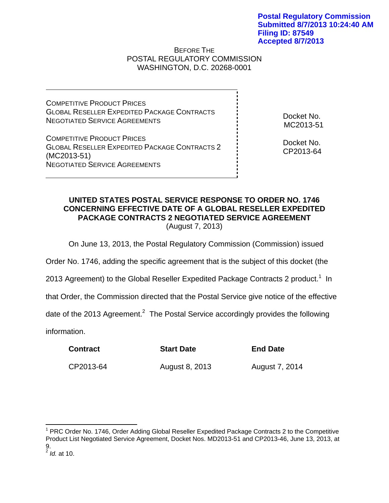## BEFORE THE POSTAL REGULATORY COMMISSION WASHINGTON, D.C. 20268-0001

COMPETITIVE PRODUCT PRICES GLOBAL RESELLER EXPEDITED PACKAGE CONTRACTS NEGOTIATED SERVICE AGREEMENTS

COMPETITIVE PRODUCT PRICES GLOBAL RESELLER EXPEDITED PACKAGE CONTRACTS 2 (MC2013-51) NEGOTIATED SERVICE AGREEMENTS

Docket No. MC2013-51

Docket No. CP2013-64

## **UNITED STATES POSTAL SERVICE RESPONSE TO ORDER NO. 1746 CONCERNING EFFECTIVE DATE OF A GLOBAL RESELLER EXPEDITED PACKAGE CONTRACTS 2 NEGOTIATED SERVICE AGREEMENT**  (August 7, 2013)

On June 13, 2013, the Postal Regulatory Commission (Commission) issued

Order No. 1746, adding the specific agreement that is the subject of this docket (the

2013 Agreement) to the Global Reseller Expedited Package Contracts 2 product.<sup>1</sup> In

that Order, the Commission directed that the Postal Service give notice of the effective

date of the 2013 Agreement.<sup>2</sup> The Postal Service accordingly provides the following

information.

| <b>Contract</b> | <b>Start Date</b> | <b>End Date</b> |
|-----------------|-------------------|-----------------|
| CP2013-64       | August 8, 2013    | August 7, 2014  |

1

<sup>&</sup>lt;sup>1</sup> PRC Order No. 1746, Order Adding Global Reseller Expedited Package Contracts 2 to the Competitive Product List Negotiated Service Agreement, Docket Nos. MD2013-51 and CP2013-46, June 13, 2013, at 9.

<sup>2</sup> *Id.* at 10.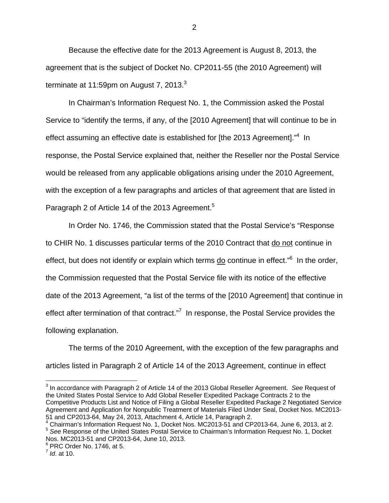Because the effective date for the 2013 Agreement is August 8, 2013, the agreement that is the subject of Docket No. CP2011-55 (the 2010 Agreement) will terminate at 11:59pm on August 7, 2013. $3$ 

 In Chairman's Information Request No. 1, the Commission asked the Postal Service to "identify the terms, if any, of the [2010 Agreement] that will continue to be in effect assuming an effective date is established for [the 2013 Agreement]."<sup>4</sup> In response, the Postal Service explained that, neither the Reseller nor the Postal Service would be released from any applicable obligations arising under the 2010 Agreement, with the exception of a few paragraphs and articles of that agreement that are listed in Paragraph 2 of Article 14 of the 2013 Agreement.<sup>5</sup>

 In Order No. 1746, the Commission stated that the Postal Service's "Response to CHIR No. 1 discusses particular terms of the 2010 Contract that do not continue in effect, but does not identify or explain which terms **do** continue in effect."<sup>6</sup> In the order, the Commission requested that the Postal Service file with its notice of the effective date of the 2013 Agreement, "a list of the terms of the [2010 Agreement] that continue in effect after termination of that contract."<sup>7</sup> In response, the Postal Service provides the following explanation.

 The terms of the 2010 Agreement, with the exception of the few paragraphs and articles listed in Paragraph 2 of Article 14 of the 2013 Agreement, continue in effect

 $\overline{a}$ 

<sup>3</sup> In accordance with Paragraph 2 of Article 14 of the 2013 Global Reseller Agreement. *See* Request of the United States Postal Service to Add Global Reseller Expedited Package Contracts 2 to the Competitive Products List and Notice of Filing a Global Reseller Expedited Package 2 Negotiated Service Agreement and Application for Nonpublic Treatment of Materials Filed Under Seal, Docket Nos. MC2013- 51 and CP2013-64, May 24, 2013, Attachment 4, Article 14, Paragraph 2.

<sup>4</sup> Chairman's Information Request No. 1, Docket Nos. MC2013-51 and CP2013-64, June 6, 2013, at 2. <sup>5</sup> *See* Response of the United States Postal Service to Chairman's Information Request No. 1, Docket Nos. MC2013-51 and CP2013-64, June 10, 2013.

<sup>6</sup> PRC Order No. 1746, at 5.

<sup>7</sup> *Id*. at 10.